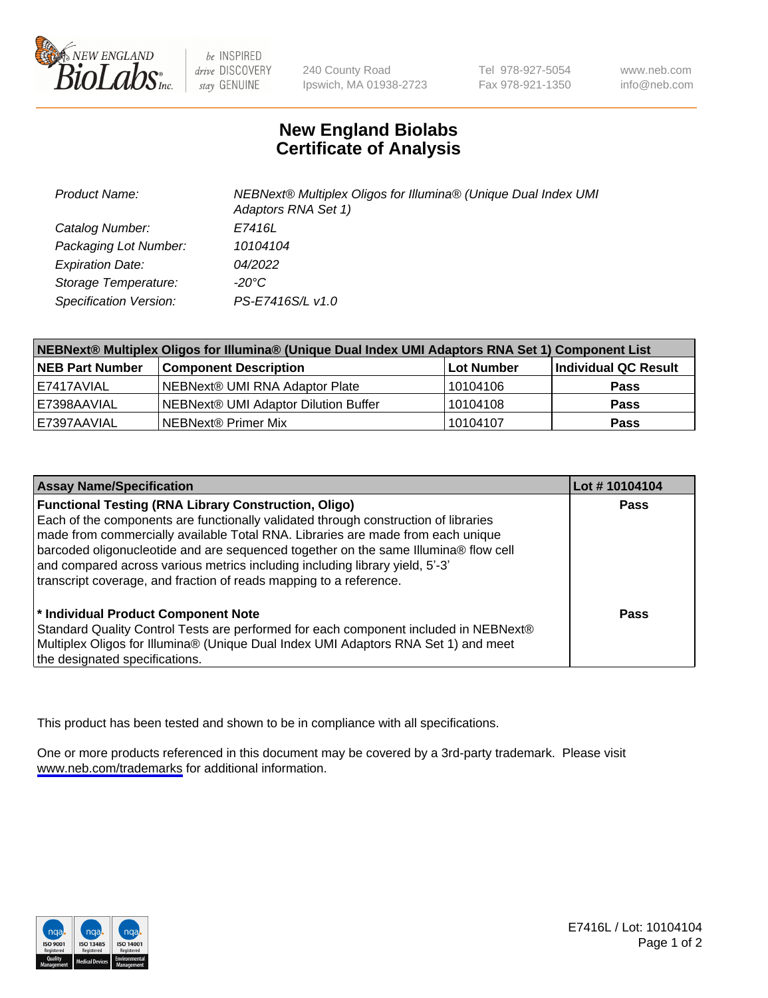

be INSPIRED drive DISCOVERY stay GENUINE

240 County Road Ipswich, MA 01938-2723 Tel 978-927-5054 Fax 978-921-1350

www.neb.com info@neb.com

## **New England Biolabs Certificate of Analysis**

| <b>Product Name:</b>    | NEBNext® Multiplex Oligos for Illumina® (Unique Dual Index UMI<br>Adaptors RNA Set 1) |
|-------------------------|---------------------------------------------------------------------------------------|
| Catalog Number:         | E7416L                                                                                |
| Packaging Lot Number:   | 10104104                                                                              |
| <b>Expiration Date:</b> | 04/2022                                                                               |
| Storage Temperature:    | $-20^{\circ}$ C                                                                       |
| Specification Version:  | PS-E7416S/L v1.0                                                                      |

| NEBNext® Multiplex Oligos for Illumina® (Unique Dual Index UMI Adaptors RNA Set 1) Component List |                                      |            |                      |  |
|---------------------------------------------------------------------------------------------------|--------------------------------------|------------|----------------------|--|
| <b>NEB Part Number</b>                                                                            | <b>Component Description</b>         | Lot Number | Individual QC Result |  |
| l E7417AVIAL                                                                                      | NEBNext® UMI RNA Adaptor Plate       | 10104106   | <b>Pass</b>          |  |
| E7398AAVIAL                                                                                       | NEBNext® UMI Adaptor Dilution Buffer | 10104108   | <b>Pass</b>          |  |
| E7397AAVIAL                                                                                       | NEBNext® Primer Mix                  | 10104107   | Pass                 |  |

| <b>Assay Name/Specification</b>                                                                                                                                                                                                                                                                                                                                                                                                                                                    | Lot #10104104 |
|------------------------------------------------------------------------------------------------------------------------------------------------------------------------------------------------------------------------------------------------------------------------------------------------------------------------------------------------------------------------------------------------------------------------------------------------------------------------------------|---------------|
| <b>Functional Testing (RNA Library Construction, Oligo)</b><br>Each of the components are functionally validated through construction of libraries<br>made from commercially available Total RNA. Libraries are made from each unique<br>barcoded oligonucleotide and are sequenced together on the same Illumina® flow cell<br>and compared across various metrics including including library yield, 5'-3'<br>transcript coverage, and fraction of reads mapping to a reference. | <b>Pass</b>   |
| * Individual Product Component Note<br>Standard Quality Control Tests are performed for each component included in NEBNext®<br>Multiplex Oligos for Illumina® (Unique Dual Index UMI Adaptors RNA Set 1) and meet<br>the designated specifications.                                                                                                                                                                                                                                | Pass          |

This product has been tested and shown to be in compliance with all specifications.

One or more products referenced in this document may be covered by a 3rd-party trademark. Please visit <www.neb.com/trademarks>for additional information.